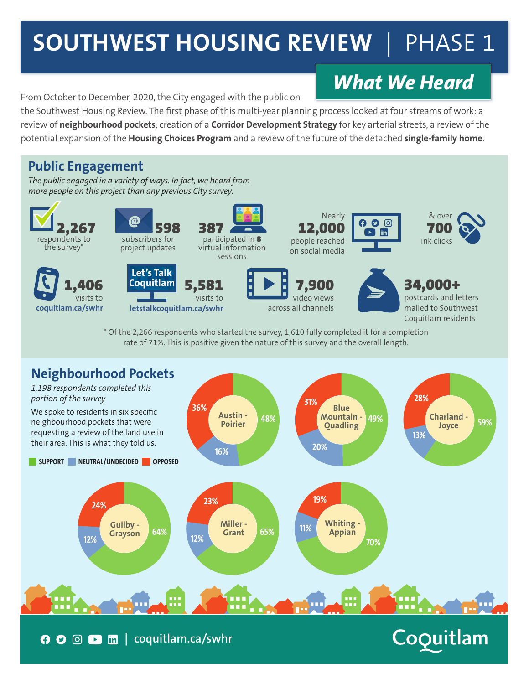## **SOUTHWEST HOUSING REVIEW | PHASE 1**

### *What We Heard*

From October to December, 2020, the City engaged with the public on

the Southwest Housing Review. The first phase of this multi-year planning process looked at four streams of work: a review of **neighbourhood pockets**, creation of a **Corridor Development Strategy** for key arterial streets, a review of the potential expansion of the **Housing Choices Program** and a review of the future of the detached **single-family home**.

#### **Public Engagement**

*The public engaged in a variety of ways. In fact, we heard from more people on this project than any previous City survey:*



\* Of the 2,266 respondents who started the survey, 1,610 fully completed it for a completion rate of 71%. This is positive given the nature of this survey and the overall length.



**| coquitlam.ca/swhr**

## Coquitlam